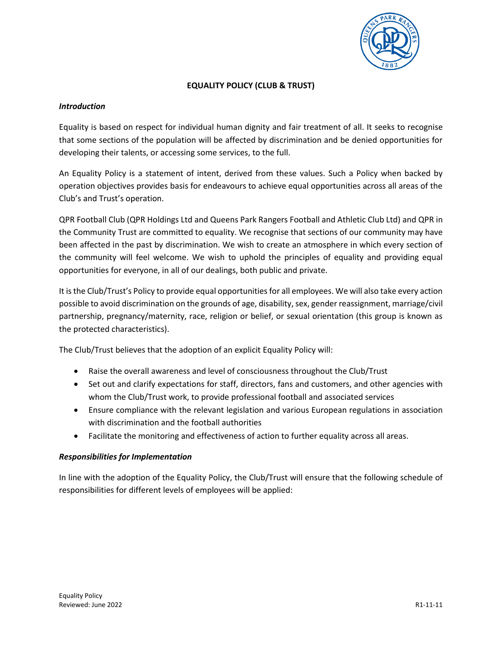

# **EQUALITY POLICY (CLUB & TRUST)**

# *Introduction*

Equality is based on respect for individual human dignity and fair treatment of all. It seeks to recognise that some sections of the population will be affected by discrimination and be denied opportunities for developing their talents, or accessing some services, to the full.

An Equality Policy is a statement of intent, derived from these values. Such a Policy when backed by operation objectives provides basis for endeavours to achieve equal opportunities across all areas of the Club's and Trust's operation.

QPR Football Club (QPR Holdings Ltd and Queens Park Rangers Football and Athletic Club Ltd) and QPR in the Community Trust are committed to equality. We recognise that sections of our community may have been affected in the past by discrimination. We wish to create an atmosphere in which every section of the community will feel welcome. We wish to uphold the principles of equality and providing equal opportunities for everyone, in all of our dealings, both public and private.

It is the Club/Trust's Policy to provide equal opportunities for all employees. We will also take every action possible to avoid discrimination on the grounds of age, disability, sex, gender reassignment, marriage/civil partnership, pregnancy/maternity, race, religion or belief, or sexual orientation (this group is known as the protected characteristics).

The Club/Trust believes that the adoption of an explicit Equality Policy will:

- Raise the overall awareness and level of consciousness throughout the Club/Trust
- Set out and clarify expectations for staff, directors, fans and customers, and other agencies with whom the Club/Trust work, to provide professional football and associated services
- Ensure compliance with the relevant legislation and various European regulations in association with discrimination and the football authorities
- Facilitate the monitoring and effectiveness of action to further equality across all areas.

# *Responsibilities for Implementation*

In line with the adoption of the Equality Policy, the Club/Trust will ensure that the following schedule of responsibilities for different levels of employees will be applied: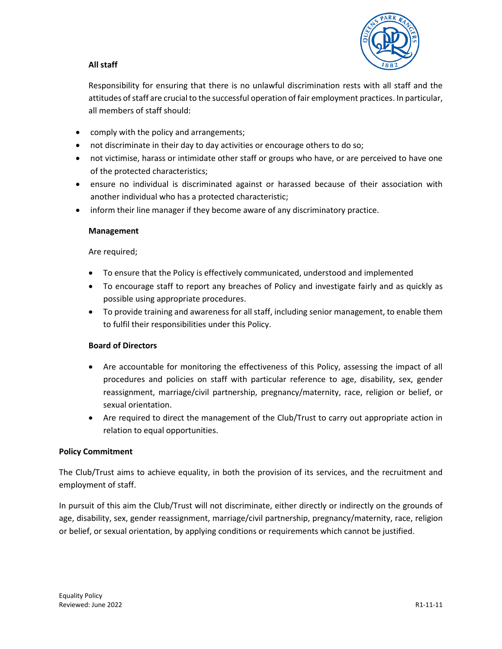# **All staff**



Responsibility for ensuring that there is no unlawful discrimination rests with all staff and the attitudes of staff are crucial to the successful operation of fair employment practices. In particular, all members of staff should:

- comply with the policy and arrangements;
- not discriminate in their day to day activities or encourage others to do so;
- not victimise, harass or intimidate other staff or groups who have, or are perceived to have one of the protected characteristics;
- ensure no individual is discriminated against or harassed because of their association with another individual who has a protected characteristic;
- inform their line manager if they become aware of any discriminatory practice.

### **Management**

Are required;

- To ensure that the Policy is effectively communicated, understood and implemented
- To encourage staff to report any breaches of Policy and investigate fairly and as quickly as possible using appropriate procedures.
- To provide training and awareness for all staff, including senior management, to enable them to fulfil their responsibilities under this Policy.

# **Board of Directors**

- Are accountable for monitoring the effectiveness of this Policy, assessing the impact of all procedures and policies on staff with particular reference to age, disability, sex, gender reassignment, marriage/civil partnership, pregnancy/maternity, race, religion or belief, or sexual orientation.
- Are required to direct the management of the Club/Trust to carry out appropriate action in relation to equal opportunities.

# **Policy Commitment**

The Club/Trust aims to achieve equality, in both the provision of its services, and the recruitment and employment of staff.

In pursuit of this aim the Club/Trust will not discriminate, either directly or indirectly on the grounds of age, disability, sex, gender reassignment, marriage/civil partnership, pregnancy/maternity, race, religion or belief, or sexual orientation, by applying conditions or requirements which cannot be justified.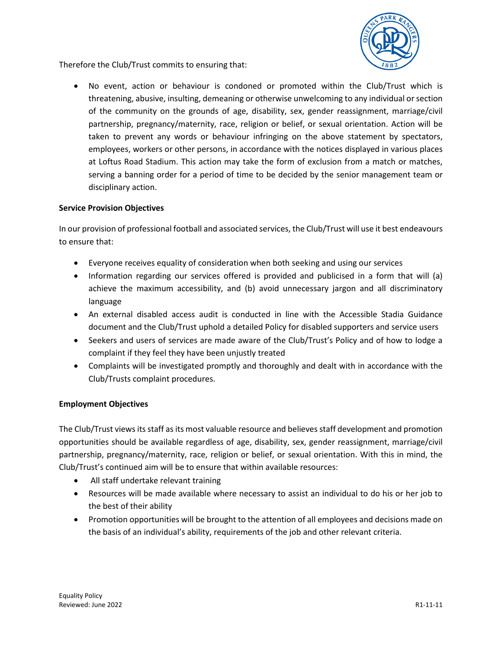

Therefore the Club/Trust commits to ensuring that:

No event, action or behaviour is condoned or promoted within the Club/Trust which is threatening, abusive, insulting, demeaning or otherwise unwelcoming to any individual or section of the community on the grounds of age, disability, sex, gender reassignment, marriage/civil partnership, pregnancy/maternity, race, religion or belief, or sexual orientation. Action will be taken to prevent any words or behaviour infringing on the above statement by spectators, employees, workers or other persons, in accordance with the notices displayed in various places at Loftus Road Stadium. This action may take the form of exclusion from a match or matches, serving a banning order for a period of time to be decided by the senior management team or disciplinary action.

# **Service Provision Objectives**

In our provision of professional football and associated services, the Club/Trust will use it best endeavours to ensure that:

- Everyone receives equality of consideration when both seeking and using our services
- Information regarding our services offered is provided and publicised in a form that will (a) achieve the maximum accessibility, and (b) avoid unnecessary jargon and all discriminatory language
- An external disabled access audit is conducted in line with the Accessible Stadia Guidance document and the Club/Trust uphold a detailed Policy for disabled supporters and service users
- Seekers and users of services are made aware of the Club/Trust's Policy and of how to lodge a complaint if they feel they have been unjustly treated
- Complaints will be investigated promptly and thoroughly and dealt with in accordance with the Club/Trusts complaint procedures.

# **Employment Objectives**

The Club/Trust views its staff as its most valuable resource and believes staff development and promotion opportunities should be available regardless of age, disability, sex, gender reassignment, marriage/civil partnership, pregnancy/maternity, race, religion or belief, or sexual orientation. With this in mind, the Club/Trust's continued aim will be to ensure that within available resources:

- All staff undertake relevant training
- Resources will be made available where necessary to assist an individual to do his or her job to the best of their ability
- Promotion opportunities will be brought to the attention of all employees and decisions made on the basis of an individual's ability, requirements of the job and other relevant criteria.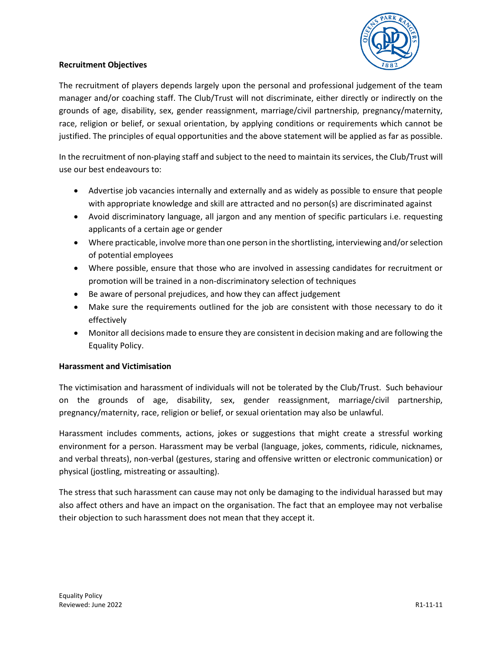

# **Recruitment Objectives**

The recruitment of players depends largely upon the personal and professional judgement of the team manager and/or coaching staff. The Club/Trust will not discriminate, either directly or indirectly on the grounds of age, disability, sex, gender reassignment, marriage/civil partnership, pregnancy/maternity, race, religion or belief, or sexual orientation, by applying conditions or requirements which cannot be justified. The principles of equal opportunities and the above statement will be applied as far as possible.

In the recruitment of non-playing staff and subject to the need to maintain its services, the Club/Trust will use our best endeavours to:

- Advertise job vacancies internally and externally and as widely as possible to ensure that people with appropriate knowledge and skill are attracted and no person(s) are discriminated against
- Avoid discriminatory language, all jargon and any mention of specific particulars i.e. requesting applicants of a certain age or gender
- Where practicable, involve more than one person in the shortlisting, interviewing and/or selection of potential employees
- Where possible, ensure that those who are involved in assessing candidates for recruitment or promotion will be trained in a non-discriminatory selection of techniques
- Be aware of personal prejudices, and how they can affect judgement
- Make sure the requirements outlined for the job are consistent with those necessary to do it effectively
- Monitor all decisions made to ensure they are consistent in decision making and are following the Equality Policy.

# **Harassment and Victimisation**

The victimisation and harassment of individuals will not be tolerated by the Club/Trust. Such behaviour on the grounds of age, disability, sex, gender reassignment, marriage/civil partnership, pregnancy/maternity, race, religion or belief, or sexual orientation may also be unlawful.

Harassment includes comments, actions, jokes or suggestions that might create a stressful working environment for a person. Harassment may be verbal (language, jokes, comments, ridicule, nicknames, and verbal threats), non-verbal (gestures, staring and offensive written or electronic communication) or physical (jostling, mistreating or assaulting).

The stress that such harassment can cause may not only be damaging to the individual harassed but may also affect others and have an impact on the organisation. The fact that an employee may not verbalise their objection to such harassment does not mean that they accept it.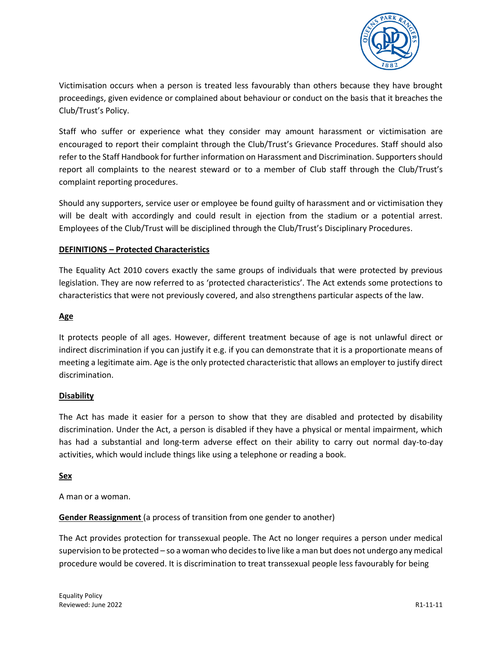

Victimisation occurs when a person is treated less favourably than others because they have brought proceedings, given evidence or complained about behaviour or conduct on the basis that it breaches the Club/Trust's Policy.

Staff who suffer or experience what they consider may amount harassment or victimisation are encouraged to report their complaint through the Club/Trust's Grievance Procedures. Staff should also refer to the Staff Handbook for further information on Harassment and Discrimination. Supporters should report all complaints to the nearest steward or to a member of Club staff through the Club/Trust's complaint reporting procedures.

Should any supporters, service user or employee be found guilty of harassment and or victimisation they will be dealt with accordingly and could result in ejection from the stadium or a potential arrest. Employees of the Club/Trust will be disciplined through the Club/Trust's Disciplinary Procedures.

# **DEFINITIONS – Protected Characteristics**

The Equality Act 2010 covers exactly the same groups of individuals that were protected by previous legislation. They are now referred to as 'protected characteristics'. The Act extends some protections to characteristics that were not previously covered, and also strengthens particular aspects of the law.

# **Age**

It protects people of all ages. However, different treatment because of age is not unlawful direct or indirect discrimination if you can justify it e.g. if you can demonstrate that it is a proportionate means of meeting a legitimate aim. Age is the only protected characteristic that allows an employer to justify direct discrimination.

# **Disability**

The Act has made it easier for a person to show that they are disabled and protected by disability discrimination. Under the Act, a person is disabled if they have a physical or mental impairment, which has had a substantial and long-term adverse effect on their ability to carry out normal day-to-day activities, which would include things like using a telephone or reading a book.

# **Sex**

A man or a woman.

**Gender Reassignment** (a process of transition from one gender to another)

The Act provides protection for transsexual people. The Act no longer requires a person under medical supervision to be protected – so a woman who decides to live like a man but does not undergo any medical procedure would be covered. It is discrimination to treat transsexual people less favourably for being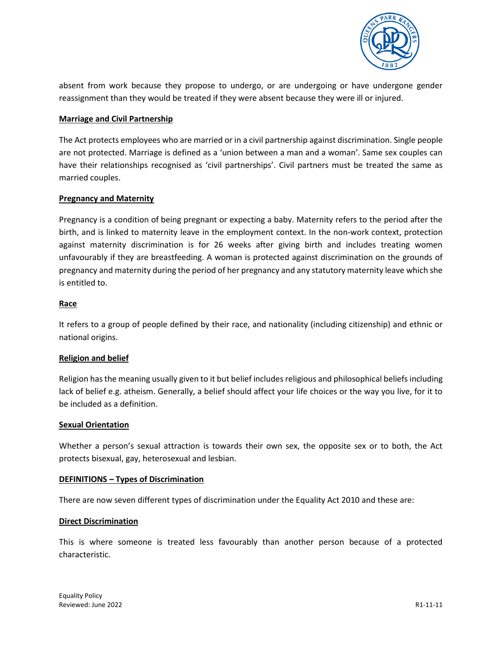

absent from work because they propose to undergo, or are undergoing or have undergone gender reassignment than they would be treated if they were absent because they were ill or injured.

### **Marriage and Civil Partnership**

The Act protects employees who are married or in a civil partnership against discrimination. Single people are not protected. Marriage is defined as a 'union between a man and a woman'. Same sex couples can have their relationships recognised as 'civil partnerships'. Civil partners must be treated the same as married couples.

### **Pregnancy and Maternity**

Pregnancy is a condition of being pregnant or expecting a baby. Maternity refers to the period after the birth, and is linked to maternity leave in the employment context. In the non-work context, protection against maternity discrimination is for 26 weeks after giving birth and includes treating women unfavourably if they are breastfeeding. A woman is protected against discrimination on the grounds of pregnancy and maternity during the period of her pregnancy and any statutory maternity leave which she is entitled to.

#### **Race**

It refers to a group of people defined by their race, and nationality (including citizenship) and ethnic or national origins.

# **Religion and belief**

Religion has the meaning usually given to it but belief includes religious and philosophical beliefs including lack of belief e.g. atheism. Generally, a belief should affect your life choices or the way you live, for it to be included as a definition.

#### **Sexual Orientation**

Whether a person's sexual attraction is towards their own sex, the opposite sex or to both, the Act protects bisexual, gay, heterosexual and lesbian.

# **DEFINITIONS – Types of Discrimination**

There are now seven different types of discrimination under the Equality Act 2010 and these are:

#### **Direct Discrimination**

This is where someone is treated less favourably than another person because of a protected characteristic.